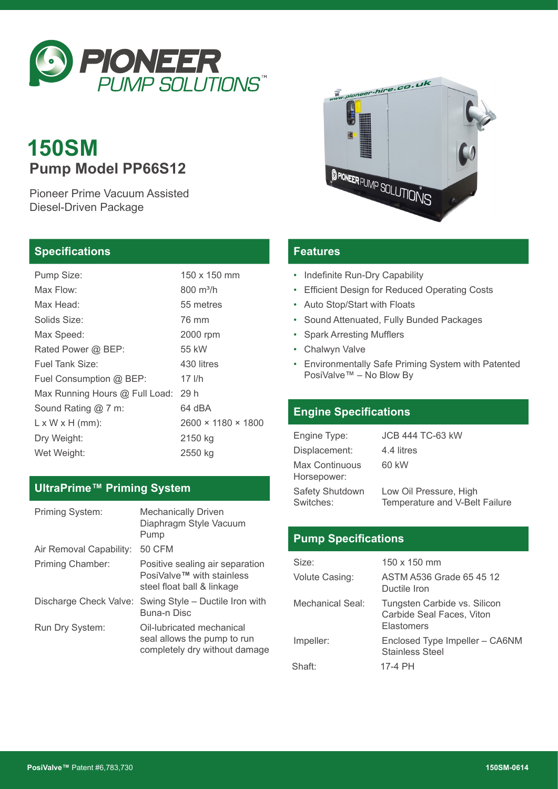

# **150SM Pump Model PP66S12**

Pioneer Prime Vacuum Assisted Diesel-Driven Package

#### **Specifications**

| Pump Size:                          | 150 x 150 mm                   |
|-------------------------------------|--------------------------------|
| Max Flow:                           | 800 m <sup>3</sup> /h          |
| Max Head:                           | 55 metres                      |
| Solids Size:                        | 76 mm                          |
| Max Speed:                          | 2000 rpm                       |
| Rated Power @ BEP:                  | 55 kW                          |
| Fuel Tank Size:                     | 430 litres                     |
| Fuel Consumption @ BEP:             | $17$ I/h                       |
| Max Running Hours @ Full Load: 29 h |                                |
| Sound Rating @ 7 m:                 | 64 dBA                         |
| $L \times W \times H$ (mm):         | $2600 \times 1180 \times 1800$ |
| Dry Weight:                         | 2150 kg                        |
| Wet Weight:                         | 2550 kg                        |

# **UltraPrime™ Priming System**

| Priming System:         | <b>Mechanically Driven</b><br>Diaphragm Style Vacuum<br>Pump                               |
|-------------------------|--------------------------------------------------------------------------------------------|
| Air Removal Capability: | <b>50 CFM</b>                                                                              |
| Priming Chamber:        | Positive sealing air separation<br>PosiValve™ with stainless<br>steel float ball & linkage |
|                         | Discharge Check Valve: Swing Style - Ductile Iron with<br>Buna-n Disc                      |
| Run Dry System:         | Oil-lubricated mechanical<br>seal allows the pump to run<br>completely dry without damage  |



#### **Features**

- Indefinite Run-Dry Capability
- Efficient Design for Reduced Operating Costs
- Auto Stop/Start with Floats
- Sound Attenuated, Fully Bunded Packages
- Spark Arresting Mufflers
- Chalwyn Valve
- Environmentally Safe Priming System with Patented PosiValve™ – No Blow By

#### **Engine Specifications**

| Engine Type:                        | <b>JCB 444 TC-63 kW</b>                                  |
|-------------------------------------|----------------------------------------------------------|
| Displacement:                       | 4.4 litres                                               |
| Max Continuous<br>Horsepower:       | 60 kW                                                    |
| <b>Safety Shutdown</b><br>Switches: | Low Oil Pressure, High<br>Temperature and V-Belt Failure |

# **Pump Specifications**

| Size:                   | $150 \times 150$ mm                                                     |
|-------------------------|-------------------------------------------------------------------------|
| Volute Casing:          | ASTM A536 Grade 65 45 12<br>Ductile Iron                                |
| <b>Mechanical Seal:</b> | Tungsten Carbide vs. Silicon<br>Carbide Seal Faces, Viton<br>Elastomers |
| Impeller:               | Enclosed Type Impeller - CA6NM<br><b>Stainless Steel</b>                |
| Shaft:                  | 17-4 PH                                                                 |